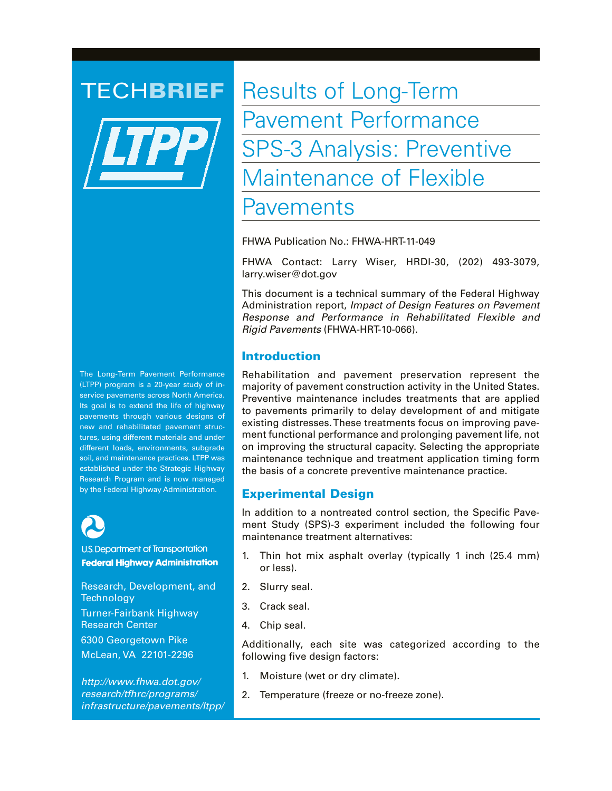

TECHBRIEF Results of Long-Term Pavement Performance SPS-3 Analysis: Preventive Maintenance of Flexible Pavements

FHWA Publication No.: FHWA-HRT-11-049

FHWA Contact: Larry Wiser, HRDI-30, (202) 493-3079, larry.wiser@dot.gov

This document is a technical summary of the Federal Highway Administration report, *Impact of Design Features on Pavement Response and Performance in Rehabilitated Flexible and Rigid Pavements* (FHWA-HRT-10-066).

# Introduction

Rehabilitation and pavement preservation represent the majority of pavement construction activity in the United States. Preventive maintenance includes treatments that are applied to pavements primarily to delay development of and mitigate existing distresses. These treatments focus on improving pavement functional performance and prolonging pavement life, not on improving the structural capacity. Selecting the appropriate maintenance technique and treatment application timing form the basis of a concrete preventive maintenance practice.

# Experimental Design

In addition to a nontreated control section, the Specific Pavement Study (SPS)-3 experiment included the following four maintenance treatment alternatives:

- 1. Thin hot mix asphalt overlay (typically 1 inch (25.4 mm) or less).
- 2. Slurry seal.
- 3. Crack seal.
- 4. Chip seal.

Additionally, each site was categorized according to the following five design factors:

- 1. Moisture (wet or dry climate).
- 2. Temperature (freeze or no-freeze zone).

The Long-Term Pavement Performance (LTPP) program is a 20-year study of inservice pavements across North America. Its goal is to extend the life of highway pavements through various designs of new and rehabilitated pavement structures, using different materials and under different loads, environments, subgrade soil, and maintenance practices. LTPP was established under the Strategic Highway Research Program and is now managed by the Federal Highway Administration.



**U.S. Department of Transportation Federal Highway Administration** 

Research, Development, and **Technology** Turner-Fairbank Highway Research Center 6300 Georgetown Pike McLean, VA 22101-2296

*http://www.fhwa.dot.gov/ research/tfhrc/programs/ infrastructure/pavements/ltpp/*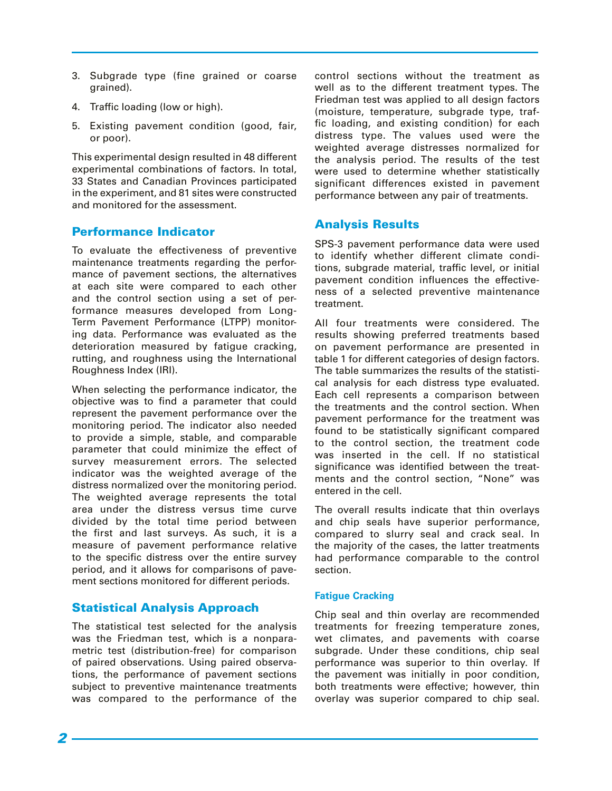- 3. Subgrade type (fine grained or coarse grained).
- 4. Traffic loading (low or high).
- 5. Existing pavement condition (good, fair, or poor).

This experimental design resulted in 48 different experimental combinations of factors. In total, 33 States and Canadian Provinces participated in the experiment, and 81 sites were constructed and monitored for the assessment.

### Performance Indicator

To evaluate the effectiveness of preventive maintenance treatments regarding the performance of pavement sections, the alternatives at each site were compared to each other and the control section using a set of performance measures developed from Long-Term Pavement Performance (LTPP) monitoring data. Performance was evaluated as the deterioration measured by fatigue cracking, rutting, and roughness using the International Roughness Index (IRI).

When selecting the performance indicator, the objective was to find a parameter that could represent the pavement performance over the monitoring period. The indicator also needed to provide a simple, stable, and comparable parameter that could minimize the effect of survey measurement errors. The selected indicator was the weighted average of the distress normalized over the monitoring period. The weighted average represents the total area under the distress versus time curve divided by the total time period between the first and last surveys. As such, it is a measure of pavement performance relative to the specific distress over the entire survey period, and it allows for comparisons of pavement sections monitored for different periods.

# Statistical Analysis Approach

The statistical test selected for the analysis was the Friedman test, which is a nonparametric test (distribution-free) for comparison of paired observations. Using paired observations, the performance of pavement sections subject to preventive maintenance treatments was compared to the performance of the

control sections without the treatment as well as to the different treatment types. The Friedman test was applied to all design factors (moisture, temperature, subgrade type, traffic loading, and existing condition) for each distress type. The values used were the weighted average distresses normalized for the analysis period. The results of the test were used to determine whether statistically significant differences existed in pavement performance between any pair of treatments.

# Analysis Results

SPS-3 pavement performance data were used to identify whether different climate conditions, subgrade material, traffic level, or initial pavement condition influences the effectiveness of a selected preventive maintenance treatment.

All four treatments were considered. The results showing preferred treatments based on pavement performance are presented in table 1 for different categories of design factors. The table summarizes the results of the statistical analysis for each distress type evaluated. Each cell represents a comparison between the treatments and the control section. When pavement performance for the treatment was found to be statistically significant compared to the control section, the treatment code was inserted in the cell. If no statistical significance was identified between the treatments and the control section, "None" was entered in the cell.

The overall results indicate that thin overlays and chip seals have superior performance, compared to slurry seal and crack seal. In the majority of the cases, the latter treatments had performance comparable to the control section.

### **Fatigue Cracking**

Chip seal and thin overlay are recommended treatments for freezing temperature zones, wet climates, and pavements with coarse subgrade. Under these conditions, chip seal performance was superior to thin overlay. If the pavement was initially in poor condition, both treatments were effective; however, thin overlay was superior compared to chip seal.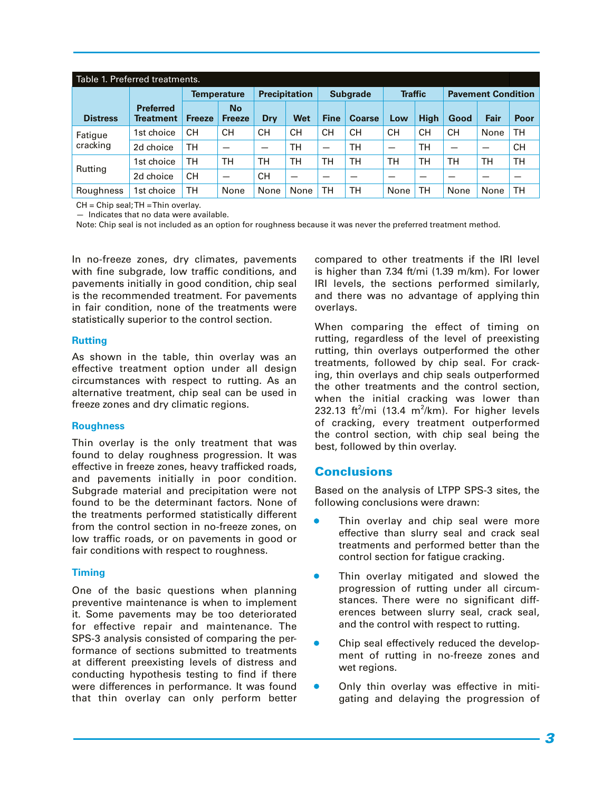| Table 1. Preferred treatments. |                                      |                    |                          |                      |           |                 |               |                |             |                           |      |           |
|--------------------------------|--------------------------------------|--------------------|--------------------------|----------------------|-----------|-----------------|---------------|----------------|-------------|---------------------------|------|-----------|
|                                |                                      | <b>Temperature</b> |                          | <b>Precipitation</b> |           | <b>Subgrade</b> |               | <b>Traffic</b> |             | <b>Pavement Condition</b> |      |           |
| <b>Distress</b>                | <b>Preferred</b><br><b>Treatment</b> | <b>Freeze</b>      | No<br><b>Freeze</b>      | Dry                  | Wet       | <b>Fine</b>     | <b>Coarse</b> | Low            | <b>High</b> | Good                      | Fair | Poor      |
| Fatigue<br>cracking            | 1st choice                           | <b>CH</b>          | CН                       | CН                   | <b>CH</b> | CН              | CН            | CН             | <b>CH</b>   | CН                        | None | TН        |
|                                | 2d choice                            | тн                 |                          |                      | тн        |                 | TН            | —              | <b>TH</b>   |                           | _    | <b>CH</b> |
| Rutting                        | 1st choice                           | тн                 | TН                       | TН                   | тн        | TН              | <b>TH</b>     | TН             | TН          | тн                        | TН   | TН        |
|                                | 2d choice                            | <b>CH</b>          | $\overline{\phantom{m}}$ | CН                   | –         | -               |               |                |             | -                         |      |           |
| Roughness                      | 1st choice                           | TН                 | None                     | None                 | None      | TН              | <b>TH</b>     | None           | <b>TH</b>   | None                      | None | TН        |

CH = Chip seal; TH = Thin overlay.

— Indicates that no data were available.

Note: Chip seal is not included as an option for roughness because it was never the preferred treatment method.

In no-freeze zones, dry climates, pavements with fine subgrade, low traffic conditions, and pavements initially in good condition, chip seal is the recommended treatment. For pavements in fair condition, none of the treatments were statistically superior to the control section.

#### **Rutting**

As shown in the table, thin overlay was an effective treatment option under all design circumstances with respect to rutting. As an alternative treatment, chip seal can be used in freeze zones and dry climatic regions.

### **Roughness**

Thin overlay is the only treatment that was found to delay roughness progression. It was effective in freeze zones, heavy trafficked roads, and pavements initially in poor condition. Subgrade material and precipitation were not found to be the determinant factors. None of the treatments performed statistically different from the control section in no-freeze zones, on low traffic roads, or on pavements in good or fair conditions with respect to roughness.

### **Timing**

One of the basic questions when planning preventive maintenance is when to implement it. Some pavements may be too deteriorated for effective repair and maintenance. The SPS-3 analysis consisted of comparing the performance of sections submitted to treatments at different preexisting levels of distress and conducting hypothesis testing to find if there were differences in performance. It was found that thin overlay can only perform better

compared to other treatments if the IRI level is higher than 7.34 ft/mi (1.39 m/km). For lower IRI levels, the sections performed similarly, and there was no advantage of applying thin overlays.

When comparing the effect of timing on rutting, regardless of the level of preexisting rutting, thin overlays outperformed the other treatments, followed by chip seal. For cracking, thin overlays and chip seals outperformed the other treatments and the control section, when the initial cracking was lower than 232.13 ft<sup>2</sup>/mi (13.4 m<sup>2</sup>/km). For higher levels of cracking, every treatment outperformed the control section, with chip seal being the best, followed by thin overlay.

### Conclusions

Based on the analysis of LTPP SPS-3 sites, the following conclusions were drawn:

- Thin overlay and chip seal were more effective than slurry seal and crack seal treatments and performed better than the control section for fatigue cracking.
- **•** Thin overlay mitigated and slowed the progression of rutting under all circumstances. There were no significant differences between slurry seal, crack seal, and the control with respect to rutting.
- Chip seal effectively reduced the development of rutting in no-freeze zones and wet regions.
- Only thin overlay was effective in mitigating and delaying the progression of